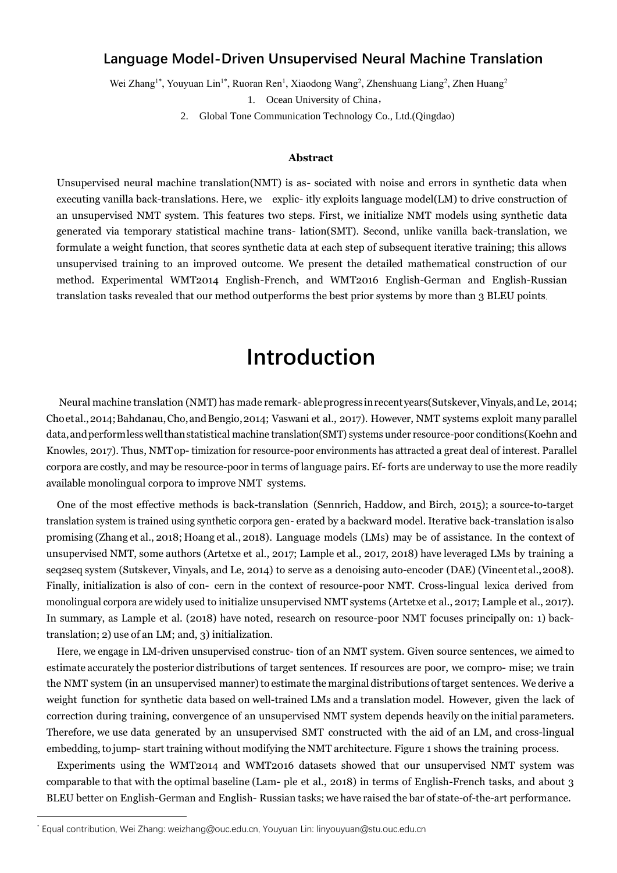#### **Language Model-Driven Unsupervised Neural Machine Translation**

Wei Zhang<sup>1\*</sup>, Youyuan Lin<sup>1\*</sup>, Ruoran Ren<sup>1</sup>, Xiaodong Wang<sup>2</sup>, Zhenshuang Liang<sup>2</sup>, Zhen Huang<sup>2</sup>

1. Ocean University of China,

2. Global Tone Communication Technology Co., Ltd.(Qingdao)

#### **Abstract**

Unsupervised neural machine translation(NMT) is as- sociated with noise and errors in synthetic data when executing vanilla back-translations. Here, we explic- itly exploits language model(LM) to drive construction of an unsupervised NMT system. This features two steps. First, we initialize NMT models using synthetic data generated via temporary statistical machine trans- lation(SMT). Second, unlike vanilla back-translation, we formulate a weight function, that scores synthetic data at each step of subsequent iterative training; this allows unsupervised training to an improved outcome. We present the detailed mathematical construction of our method. Experimental WMT2014 English-French, and WMT2016 English-German and English-Russian translation tasks revealed that our method outperforms the best prior systems by more than 3 BLEU points.

# **Introduction**

Neural machine translation (NMT) has made remark- ableprogress inrecentyears(Suts[kever,Vinyals,andLe,](#page-10-0) [2014;](#page-10-0) Choetal., 2014; Bahdanau, Cho, and Bengio, 2014; [Vaswani et al., 2017\).](#page-10-1) However, NMT systems exploit many parallel data,andperformlesswellthanstatistical machine translation(SMT) systems under resource-poor conditions([Koehn and](#page-10-2)  [Knowles, 2017\)](#page-10-2). Thus, NMTop- timization for resource-poor environments has attracted a great deal of interest. Parallel corpora are costly, and may be resource-poor in terms of language pairs. Ef- forts are underway to use the more readily available monolingual corpora to improve NMT systems.

One of the most effective methods is back-translation [\(Sennrich,](#page-10-3) Haddow, and Birch, [2015\);](#page-10-3) a source-to-target translation system is trained using synthetic corpora gen- erated by a backward model. Iterative back-translation isalso promising [\(Zhang](#page-11-0) et al., [2018;](#page-11-0) [Hoang](#page-9-2) et al., [2018\).](#page-9-2) Language models (LMs) may be of assistance. In the context of unsupervised NMT, some authors (Artetxe et al., 2017; [Lample](#page-10-4) et al., [2017,](#page-10-4) [2018\)](#page-10-5) have leveraged LMs by training a seq2seq system [\(Sutskever, Vinyals, and](#page-10-0) [Le,](#page-10-0) [2014](#page-10-0)) to serve as a denoising auto-encoder (DAE) [\(Vincentetal.,2008\).](#page-10-6) Finally, initialization is also of con- cern in the context of resource-poor NMT. Cross-lingual lexica derived from monolingual corpora are widely used to initialize unsupervised NMT systems (Artetxe et al., 2017[; Lample et al., 2017\).](#page-10-4) In summary, as [Lample et](#page-10-5) [al. \(2018\) h](#page-10-5)ave noted, research on resource-poor NMT focuses principally on: 1) backtranslation; 2) use of an LM; and, 3) initialization.

Here, we engage in LM-driven unsupervised construc- tion of an NMT system. Given source sentences, we aimed to estimate accurately the posterior distributions of target sentences. If resources are poor, we compro- mise; we train the NMT system (in an unsupervised manner) to estimate the marginal distributions of target sentences. We derive a weight function for synthetic data based on well-trained LMs and a translation model. However, given the lack of correction during training, convergence of an unsupervised NMT system depends heavily on the initial parameters. Therefore, we use data generated by an unsupervised SMT constructed with the aid of an LM, and cross-lingual embedding, to jump- start training without modifying the NMT architecture. Figure [1 s](#page-1-0)hows the training process.

Experiments using the WMT2014 and WMT2016 datasets showed that our unsupervised NMT system was comparable to that with the optimal baseline [\(Lam-](#page-10-5) [ple et al., 2018\)](#page-10-5) in terms of English-French tasks, and about 3 BLEU better on English-German and English- Russian tasks; we have raised the bar of state-of-the-art performance.

<sup>\*</sup> Equal contribution, Wei Zhang: weizhang@ouc.edu.cn, Youyuan Lin: linyouyuan@stu.ouc.edu.cn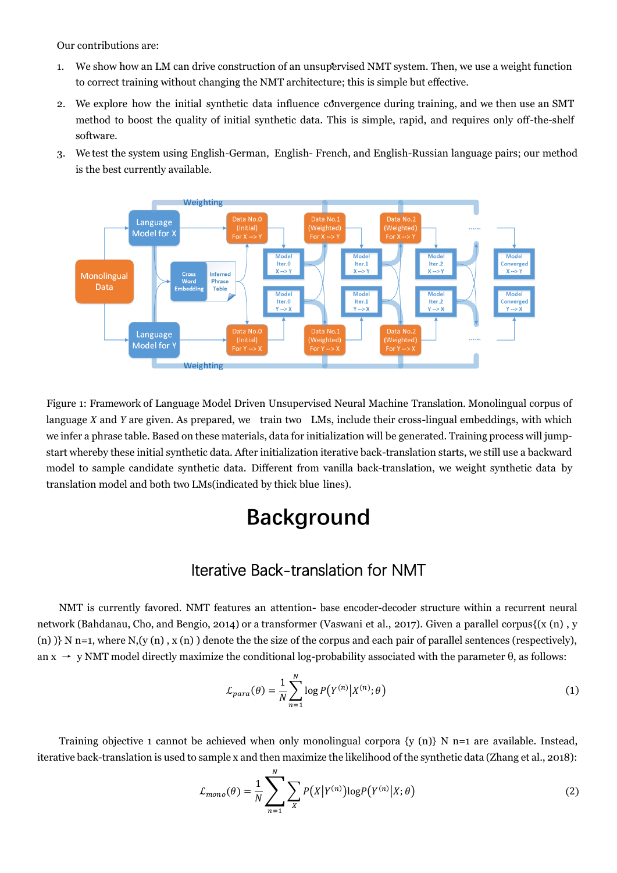Our contributions are:

- 1. We show how an LM can drive construction of an unsupervised NMT system. Then, we use a weight function to correct training without changing the NMT architecture; this is simple but effective.
- 2. We explore how the initial synthetic data influence convergence during training, and we then use an SMT method to boost the quality of initial synthetic data. This is simple, rapid, and requires only off-the-shelf software.
- 3. We test the system using English-German, English- French, and English-Russian language pairs; our method is the best currently available.



<span id="page-1-0"></span>Figure 1: Framework of Language Model Driven Unsupervised Neural Machine Translation. Monolingual corpus of language *X* and *Y* are given. As prepared, we train two LMs, include their cross-lingual embeddings, with which we infer a phrase table. Based on these materials, data for initialization will be generated. Training process will jumpstart whereby these initial synthetic data. After initialization iterative back-translation starts, we still use a backward model to sample candidate synthetic data. Different from vanilla back-translation, we weight synthetic data by translation model and both two LMs(indicated by thick blue lines).

## **Background**

#### Iterative Back-translation for NMT

NMT is currently favored. NMT features an attention- base encoder-decoder structure within a recurrent neural network [\(Bahdanau,](#page-9-1) Cho, and Bengio, [2014\)](#page-9-1) or a transformer ([Vaswani et al., 2017\).](#page-10-1) Given a parallel corpus{(x (n) , y (n)  $\}$  N n=1, where N,(y (n), x (n)) denote the the size of the corpus and each pair of parallel sentences (respectively), an  $x \rightarrow y$  NMT model directly maximize the conditional log-probability associated with the parameter  $\theta$ , as follows:

$$
\mathcal{L}_{para}(\theta) = \frac{1}{N} \sum_{n=1}^{N} \log P(Y^{(n)} | X^{(n)}; \theta)
$$
\n(1)

Training objective 1 cannot be achieved when only monolingual corpora  $\{y(n)\}\ N$  n=1 are available. Instead, iterative back-translation is used to sample x and then maximize the likelihood of the synthetic data (Zhang et al., 2018):

$$
\mathcal{L}_{mono}(\theta) = \frac{1}{N} \sum_{n=1}^{N} \sum_{X} P(X|Y^{(n)}) \log P(Y^{(n)}|X; \theta)
$$
\n(2)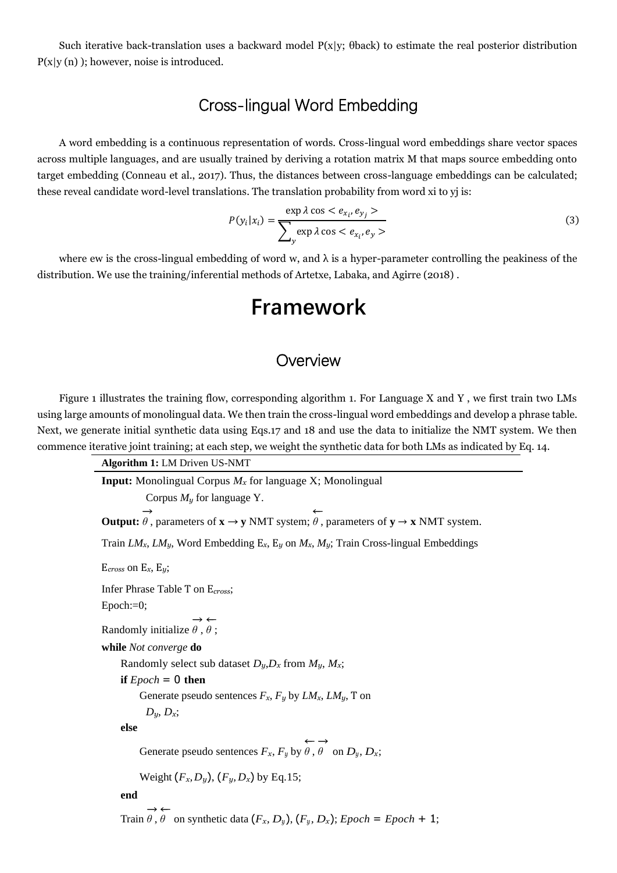Such iterative back-translation uses a backward model P(x|y; θback) to estimate the real posterior distribution  $P(x|y(n))$ ; however, noise is introduced.

#### Cross-lingual Word Embedding

A word embedding is a continuous representation of words. Cross-lingual word embeddings share vector spaces across multiple languages, and are usually trained by deriving a rotation matrix M that maps source embedding onto target embedding (Conneau et al., 2017). Thus, the distances between cross-language embeddings can be calculated; these reveal candidate word-level translations. The translation probability from word xi to yj is:

$$
P(y_i|x_i) = \frac{\exp \lambda \cos \langle e_{x_i}, e_{y_j} \rangle}{\sum_{y} \exp \lambda \cos \langle e_{x_i}, e_y \rangle}
$$
(3)

where ew is the cross-lingual embedding of word w, and  $\lambda$  is a hyper-parameter controlling the peakiness of the distribution. We use the training/inferential methods of Artetxe, Labaka, and Agirre (2018).

## **Framework**

#### **Overview**

Figure 1 illustrates the training flow, corresponding algorithm 1. For Language X and Y , we first train two LMs using large amounts of monolingual data. We then train the cross-lingual word embeddings and develop a phrase table. Next, we generate initial synthetic data using Eqs.17 and 18 and use the data to initialize the NMT system. We then commence iterative joint training; at each step, we weight the synthetic data for both LMs as indicated by Eq. 14.

> **Algorithm 1:** LM Driven US-NMT **Input:** Monolingual Corpus *M<sup>x</sup>* for language X; Monolingual Corpus *M<sup>y</sup>* for language Y. **Output:** −→  $\theta$ , parameters of  $\mathbf{x} \rightarrow \mathbf{y}$  NMT system; ←−  $\theta$ , parameters of  $y \rightarrow x$  NMT system. Train *LMx*, *LMy*, Word Embedding E*x*, E*<sup>y</sup>* on *Mx*, *My*; Train Cross-lingual Embeddings E*cross* on E*x*, E*y*; Infer Phrase Table T on E*cross*; Epoch:=0; Randomly initialize −→ *θ* , ←− *θ* ; **while** *Not converge* **do** Randomly select sub dataset  $D_y$ ,  $D_x$  from  $M_y$ ,  $M_x$ ; **if**  $E$ *poch* = 0 **then** Generate pseudo sentences  $F_x$ ,  $F_y$  by  $LM_x$ ,  $LM_y$ , T on  $D_y$ ,  $D_x$ ; **else** Generate pseudo sentences  $F_x$ ,  $F_y$  by ←− *θ* , −→  $\theta$  on  $D_y, D_x$ ; Weight  $(F_x, D_y)$ ,  $(F_y, D_x)$  by Eq.15; **end** −→ ←−

Train *θ* ,  $\theta$  on synthetic data  $(F_x, D_y), (F_y, D_x); Epoch = Epoch + 1;$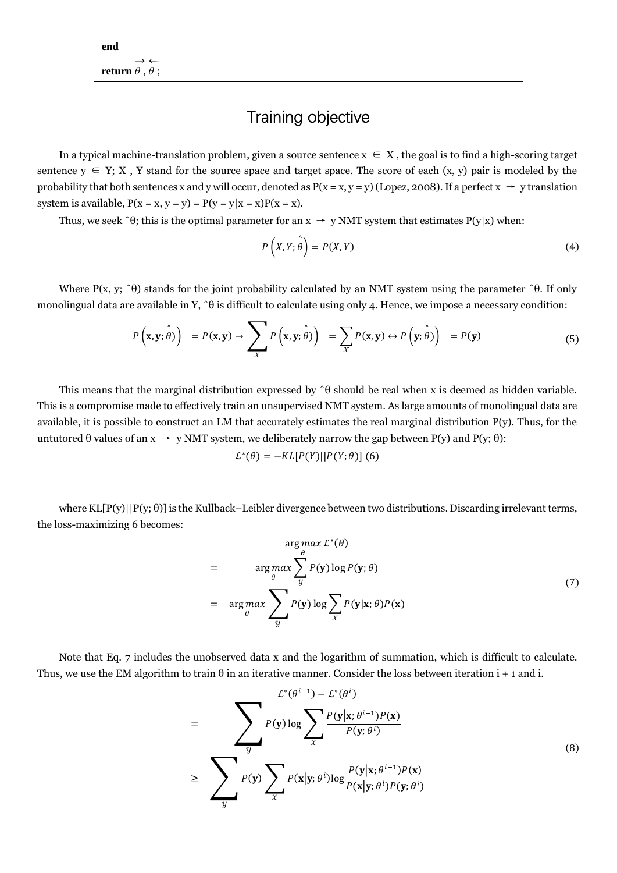#### Training objective

In a typical machine-translation problem, given a source sentence  $x \in X$ , the goal is to find a high-scoring target sentence  $y \in Y$ ; X, Y stand for the source space and target space. The score of each  $(x, y)$  pair is modeled by the probability that both sentences x and y will occur, denoted as  $P(x = x, y = y)$  (Lopez, 2008). If a perfect  $x \rightarrow y$  translation system is available,  $P(x = x, y = y) = P(y = y|x = x)P(x = x)$ .

Thus, we seek  $\hat{f}$ ; this is the optimal parameter for an  $x \rightarrow y$  NMT system that estimates P(y|x) when:

$$
P(X,Y; \hat{\theta}) = P(X,Y) \tag{4}
$$

Where P(x, y;  $\hat{\theta}$ ) stands for the joint probability calculated by an NMT system using the parameter  $\hat{\theta}$ . If only monolingual data are available in Y,  $\hat{\theta}$  is difficult to calculate using only 4. Hence, we impose a necessary condition:

$$
P\left(\mathbf{x}, \mathbf{y}; \hat{\theta}\right) = P(\mathbf{x}, \mathbf{y}) \rightarrow \sum_{\mathcal{X}} P\left(\mathbf{x}, \mathbf{y}; \hat{\theta}\right) = \sum_{\mathcal{X}} P(\mathbf{x}, \mathbf{y}) \leftrightarrow P\left(\mathbf{y}; \hat{\theta}\right) = P(\mathbf{y})
$$
(5)

This means that the marginal distribution expressed by ˆθ should be real when x is deemed as hidden variable. This is a compromise made to effectively train an unsupervised NMT system. As large amounts of monolingual data are available, it is possible to construct an LM that accurately estimates the real marginal distribution P(y). Thus, for the untutored θ values of an  $x \rightarrow y$  NMT system, we deliberately narrow the gap between P(y) and P(y; θ):

$$
\mathcal{L}^*(\theta) = -KL[P(Y)||P(Y;\theta)]
$$
 (6)

where  $KL[P(y)|P(y;\theta)]$  is the Kullback–Leibler divergence between two distributions. Discarding irrelevant terms, the loss-maximizing 6 becomes:

$$
\arg \max_{\theta} \mathcal{L}^{*}(\theta)
$$
\n
$$
= \arg \max_{\theta} \sum_{y} P(\mathbf{y}) \log P(\mathbf{y}; \theta)
$$
\n
$$
= \arg \max_{\theta} \sum_{y} P(\mathbf{y}) \log \sum_{x} P(\mathbf{y} | \mathbf{x}; \theta) P(\mathbf{x})
$$
\n(7)

Note that Eq. 7 includes the unobserved data x and the logarithm of summation, which is difficult to calculate. Thus, we use the EM algorithm to train  $\theta$  in an iterative manner. Consider the loss between iteration  $i + 1$  and i.

$$
= \sum_{y} \sum_{p(y) \log \sum_{x} P(y | \mathbf{x}; \theta^{i+1}) P(\mathbf{x})} \frac{\sum_{y} \sum_{y} P(y | \mathbf{x}; \theta^{i+1}) P(\mathbf{x})}{P(y; \theta^{i})}
$$
\n
$$
\geq \sum_{y} P(y) \sum_{x} P(\mathbf{x} | \mathbf{y}; \theta^{i}) \log \frac{P(y | \mathbf{x}; \theta^{i+1}) P(\mathbf{x})}{P(\mathbf{x} | \mathbf{y}; \theta^{i}) P(\mathbf{y}; \theta^{i})}
$$
\n(8)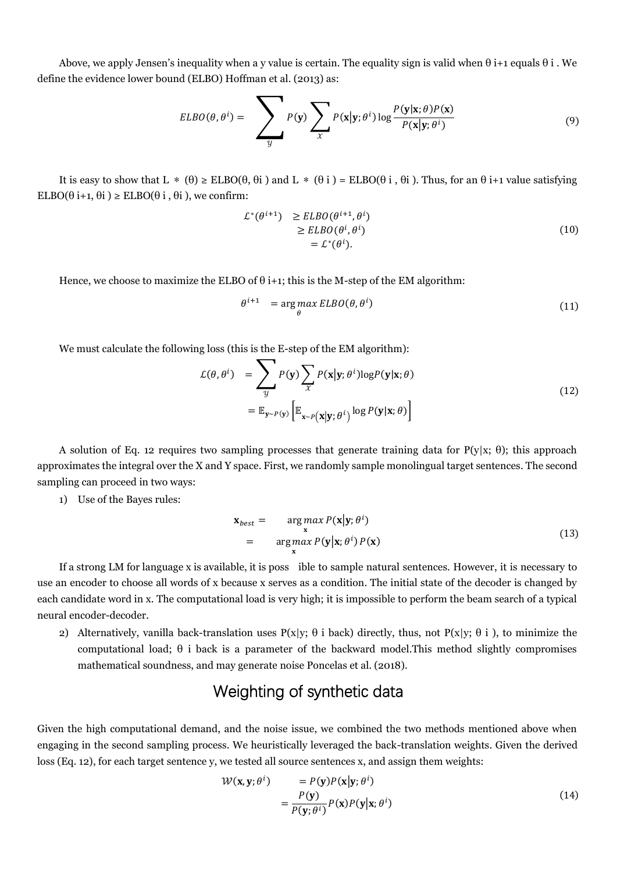Above, we apply Jensen's inequality when a y value is certain. The equality sign is valid when  $\theta$  i+1 equals  $\theta$  i . We define the evidence lower bound (ELBO) Hoffman et al. (2013) as:

$$
ELBO(\theta, \theta^i) = \sum_{y} P(y) \sum_{x} P(x|y; \theta^i) \log \frac{P(y|x; \theta)P(x)}{P(x|y; \theta^i)}
$$
(9)

It is easy to show that L  $*(\theta) \geq ELBO(\theta, \theta)$  and L  $*(\theta)$  = ELBO( $\theta$  i,  $\theta$ i). Thus, for an  $\theta$  i+1 value satisfying ELBO( $\theta$  i+1,  $\theta$ i)  $\geq$  ELBO( $\theta$  i,  $\theta$ i), we confirm:

$$
\mathcal{L}^*(\theta^{i+1}) \ge ELBO(\theta^{i+1}, \theta^i) \ge ELBO(\theta^i, \theta^i) = \mathcal{L}^*(\theta^i).
$$
\n(10)

Hence, we choose to maximize the ELBO of  $\theta$  i+1; this is the M-step of the EM algorithm:

$$
\theta^{i+1} = \underset{\theta}{\arg\max} ELBO(\theta, \theta^i) \tag{11}
$$

We must calculate the following loss (this is the E-step of the EM algorithm):

$$
\mathcal{L}(\theta, \theta^i) = \sum_{y} P(y) \sum_{x} P(x|y; \theta^i) \log P(y|x; \theta)
$$
  
=  $\mathbb{E}_{y \sim P(y)} \left[ \mathbb{E}_{x \sim P(x|y; \theta^i)} \log P(y|x; \theta) \right]$  (12)

A solution of Eq. 12 requires two sampling processes that generate training data for  $P(y|x; \theta)$ ; this approach approximates the integral over the X and Y space. First, we randomly sample monolingual target sentences. The second sampling can proceed in two ways:

1) Use of the Bayes rules:

$$
\mathbf{x}_{best} = \underset{\mathbf{x}}{\arg \max} P(\mathbf{x}|\mathbf{y}; \theta^i) \n= \underset{\mathbf{x}}{\arg \max} P(\mathbf{y}|\mathbf{x}; \theta^i) P(\mathbf{x})
$$
\n(13)

If a strong LM for language x is available, it is poss ible to sample natural sentences. However, it is necessary to use an encoder to choose all words of x because x serves as a condition. The initial state of the decoder is changed by each candidate word in x. The computational load is very high; it is impossible to perform the beam search of a typical neural encoder-decoder.

2) Alternatively, vanilla back-translation uses  $P(x|y; \theta i)$  back) directly, thus, not  $P(x|y; \theta i)$ , to minimize the computational load; θ i back is a parameter of the backward model.This method slightly compromises mathematical soundness, and may generate noise Poncelas et al. (2018).

#### Weighting of synthetic data

Given the high computational demand, and the noise issue, we combined the two methods mentioned above when engaging in the second sampling process. We heuristically leveraged the back-translation weights. Given the derived loss (Eq. 12), for each target sentence y, we tested all source sentences x, and assign them weights:

$$
W(\mathbf{x}, \mathbf{y}; \theta^i) = P(\mathbf{y})P(\mathbf{x}|\mathbf{y}; \theta^i)
$$
  
= 
$$
\frac{P(\mathbf{y})}{P(\mathbf{y}; \theta^i)}P(\mathbf{x})P(\mathbf{y}|\mathbf{x}; \theta^i)
$$
 (14)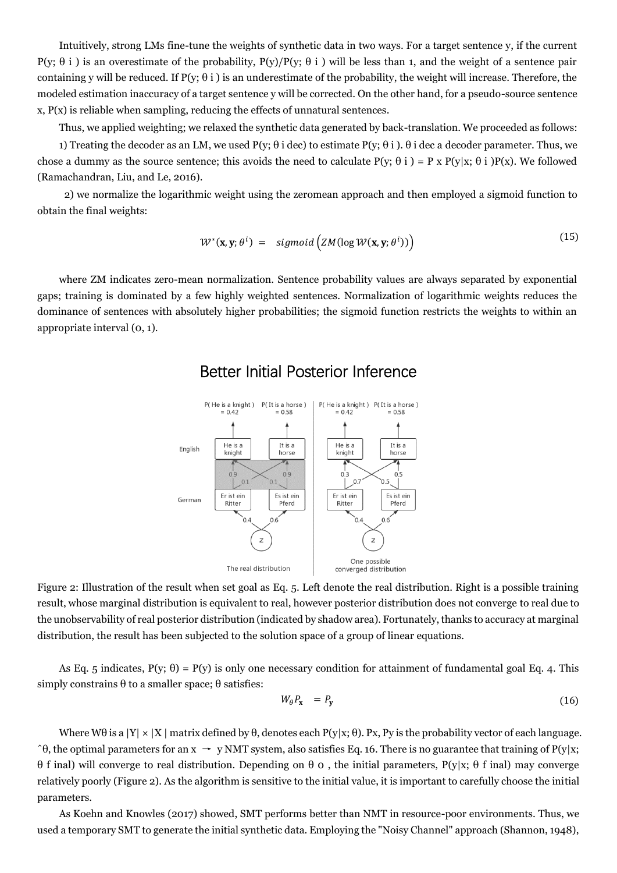Intuitively, strong LMs fine-tune the weights of synthetic data in two ways. For a target sentence y, if the current P(y; θ i ) is an overestimate of the probability, P(y)/P(y; θ i ) will be less than 1, and the weight of a sentence pair containing y will be reduced. If  $P(y; \theta i)$  is an underestimate of the probability, the weight will increase. Therefore, the modeled estimation inaccuracy of a target sentence y will be corrected. On the other hand, for a pseudo-source sentence  $x, P(x)$  is reliable when sampling, reducing the effects of unnatural sentences.

Thus, we applied weighting; we relaxed the synthetic data generated by back-translation. We proceeded as follows:

1) Treating the decoder as an LM, we used  $P(y; \theta i \text{ dec})$  to estimate  $P(y; \theta i)$ .  $\theta i$  dec a decoder parameter. Thus, we chose a dummy as the source sentence; this avoids the need to calculate  $P(y; \theta i) = P x P(y|x; \theta i) P(x)$ . We followed (Ramachandran, Liu, and Le, 2016).

2) we normalize the logarithmic weight using the zeromean approach and then employed a sigmoid function to obtain the final weights:

$$
\mathcal{W}^*(\mathbf{x}, \mathbf{y}; \theta^i) = \text{sigmoid}\left(\text{ZM}(\log \mathcal{W}(\mathbf{x}, \mathbf{y}; \theta^i))\right) \tag{15}
$$

where ZM indicates zero-mean normalization. Sentence probability values are always separated by exponential gaps; training is dominated by a few highly weighted sentences. Normalization of logarithmic weights reduces the dominance of sentences with absolutely higher probabilities; the sigmoid function restricts the weights to within an appropriate interval (0, 1).



#### Better Initial Posterior Inference

Figure 2: Illustration of the result when set goal as Eq. 5. Left denote the real distribution. Right is a possible training result, whose marginal distribution is equivalent to real, however posterior distribution does not converge to real due to the unobservability of real posterior distribution (indicated by shadow area). Fortunately, thanks to accuracy at marginal distribution, the result has been subjected to the solution space of a group of linear equations.

As Eq. 5 indicates,  $P(y; \theta) = P(y)$  is only one necessary condition for attainment of fundamental goal Eq. 4. This simply constrains  $\theta$  to a smaller space;  $\theta$  satisfies:

$$
W_{\theta}P_{\mathbf{x}} = P_{\mathbf{y}} \tag{16}
$$

Where W $\theta$  is a  $|Y| \times |X|$  matrix defined by  $\theta$ , denotes each  $P(y|x; \theta)$ . Px, Py is the probability vector of each language.  $\hat{\theta}$ , the optimal parameters for an  $x \to y$  NMT system, also satisfies Eq. 16. There is no guarantee that training of P(y|x; θ f inal) will converge to real distribution. Depending on θ 0 , the initial parameters, P(y|x; θ f inal) may converge relatively poorly (Figure 2). As the algorithm is sensitive to the initial value, it is important to carefully choose the initial parameters.

As Koehn and Knowles (2017) showed, SMT performs better than NMT in resource-poor environments. Thus, we used a temporary SMT to generate the initial synthetic data. Employing the "Noisy Channel" approach (Shannon, 1948),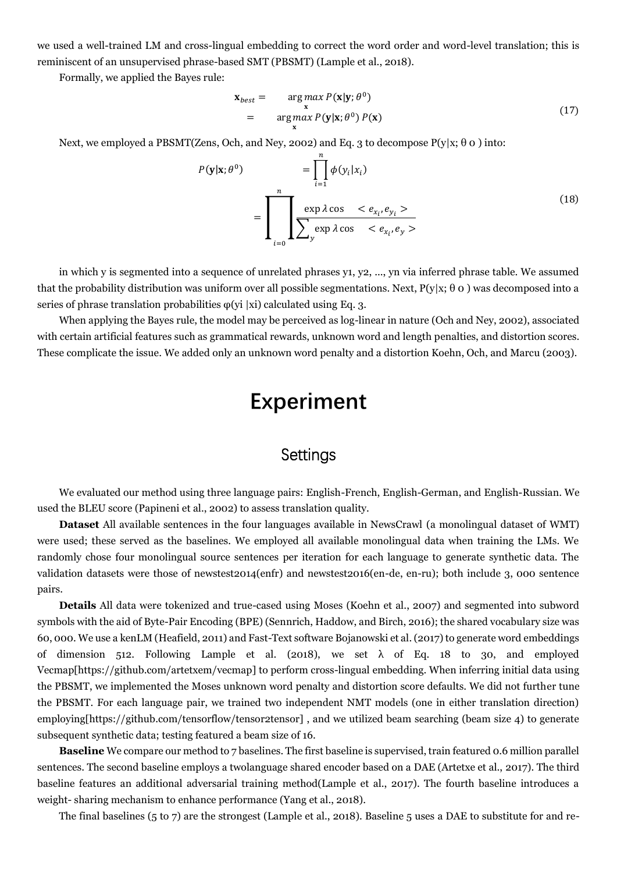we used a well-trained LM and cross-lingual embedding to correct the word order and word-level translation; this is reminiscent of an unsupervised phrase-based SMT (PBSMT) (Lample et al., 2018).

Formally, we applied the Bayes rule:

$$
\mathbf{x}_{best} = \underset{\mathbf{x}}{\arg \max} P(\mathbf{x}|\mathbf{y}; \theta^0) \n= \underset{\mathbf{x}}{\arg \max} P(\mathbf{y}|\mathbf{x}; \theta^0) P(\mathbf{x})
$$
\n(17)

Next, we employed a PBSMT(Zens, Och, and Ney, 2002) and Eq. 3 to decompose  $P(y|x; \theta \ o)$  into:

$$
P(\mathbf{y}|\mathbf{x};\theta^0) = \prod_{i=1}^n \phi(y_i|x_i)
$$

$$
= \prod_{i=0}^n \underbrace{\exp \lambda \cos \langle e_{x_i}, e_{y_i} \rangle}_{\sum_{i=0}^n \exp \lambda \cos \langle e_{x_i}, e_{y_i} \rangle} \tag{18}
$$

in which y is segmented into a sequence of unrelated phrases y1, y2, ..., yn via inferred phrase table. We assumed that the probability distribution was uniform over all possible segmentations. Next,  $P(y|x; \theta \rho)$  was decomposed into a series of phrase translation probabilities  $\varphi$ (yi |xi) calculated using Eq. 3.

When applying the Bayes rule, the model may be perceived as log-linear in nature (Och and Ney, 2002), associated with certain artificial features such as grammatical rewards, unknown word and length penalties, and distortion scores. These complicate the issue. We added only an unknown word penalty and a distortion Koehn, Och, and Marcu (2003).

# **Experiment**

### **Settings**

We evaluated our method using three language pairs: English-French, English-German, and English-Russian. We used the BLEU score (Papineni et al., 2002) to assess translation quality.

**Dataset** All available sentences in the four languages available in NewsCrawl (a monolingual dataset of WMT) were used; these served as the baselines. We employed all available monolingual data when training the LMs. We randomly chose four monolingual source sentences per iteration for each language to generate synthetic data. The validation datasets were those of newstest2014(enfr) and newstest2016(en-de, en-ru); both include 3, 000 sentence pairs.

**Details** All data were tokenized and true-cased using Moses (Koehn et al., 2007) and segmented into subword symbols with the aid of Byte-Pair Encoding (BPE) (Sennrich, Haddow, and Birch, 2016); the shared vocabulary size was 60, 000. We use a kenLM (Heafield, 2011) and Fast-Text software Bojanowski et al. (2017) to generate word embeddings of dimension 512. Following Lample et al. (2018), we set  $\lambda$  of Eq. 18 to 30, and employed Vecmap[https://github.com/artetxem/vecmap] to perform cross-lingual embedding. When inferring initial data using the PBSMT, we implemented the Moses unknown word penalty and distortion score defaults. We did not further tune the PBSMT. For each language pair, we trained two independent NMT models (one in either translation direction) employing[https://github.com/tensorflow/tensor2tensor] , and we utilized beam searching (beam size 4) to generate subsequent synthetic data; testing featured a beam size of 16.

**Baseline** We compare our method to 7 baselines. The first baseline is supervised, train featured 0.6 million parallel sentences. The second baseline employs a twolanguage shared encoder based on a DAE (Artetxe et al., 2017). The third baseline features an additional adversarial training method(Lample et al., 2017). The fourth baseline introduces a weight- sharing mechanism to enhance performance (Yang et al., 2018).

The final baselines (5 to 7) are the strongest (Lample et al., 2018). Baseline 5 uses a DAE to substitute for and re-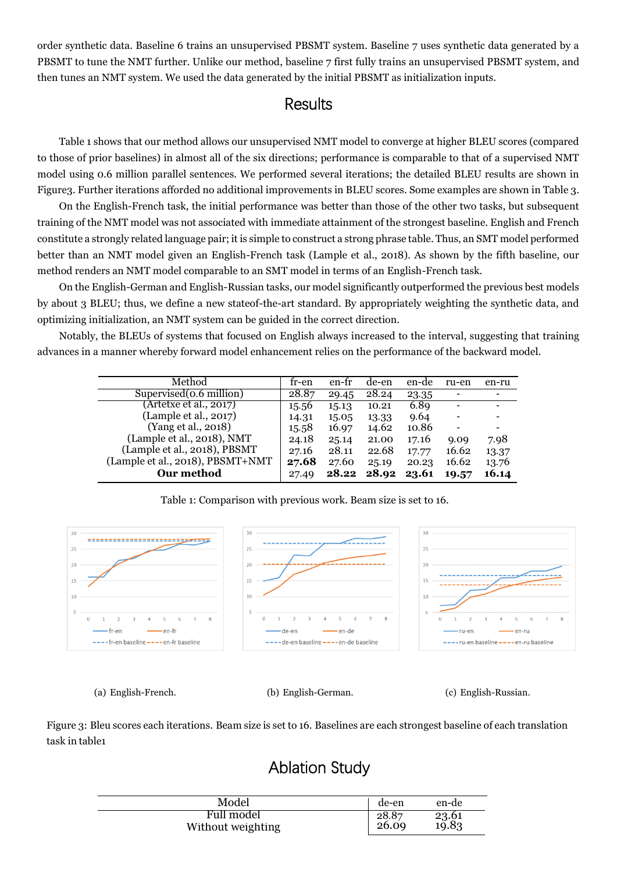order synthetic data. Baseline 6 trains an unsupervised PBSMT system. Baseline 7 uses synthetic data generated by a PBSMT to tune the NMT further. Unlike our method, baseline 7 first fully trains an unsupervised PBSMT system, and then tunes an NMT system. We used the data generated by the initial PBSMT as initialization inputs.

#### **Results**

Table 1 shows that our method allows our unsupervised NMT model to converge at higher BLEU scores (compared to those of prior baselines) in almost all of the six directions; performance is comparable to that of a supervised NMT model using 0.6 million parallel sentences. We performed several iterations; the detailed BLEU results are shown in Figure3. Further iterations afforded no additional improvements in BLEU scores. Some examples are shown in Table 3.

On the English-French task, the initial performance was better than those of the other two tasks, but subsequent training of the NMT model was not associated with immediate attainment of the strongest baseline. English and French constitute a strongly related language pair; it is simple to construct a strong phrase table. Thus, an SMT model performed better than an NMT model given an English-French task (Lample et al., 2018). As shown by the fifth baseline, our method renders an NMT model comparable to an SMT model in terms of an English-French task.

On the English-German and English-Russian tasks, our model significantly outperformed the previous best models by about 3 BLEU; thus, we define a new stateof-the-art standard. By appropriately weighting the synthetic data, and optimizing initialization, an NMT system can be guided in the correct direction.

Notably, the BLEUs of systems that focused on English always increased to the interval, suggesting that training advances in a manner whereby forward model enhancement relies on the performance of the backward model.

<span id="page-7-0"></span>

| Method                           | tr-en | en-fr | de-en | en-de | ru-en                        | en-ru |
|----------------------------------|-------|-------|-------|-------|------------------------------|-------|
| Supervised (o. 6 million)        | 28.87 | 29.45 | 28.24 | 23.35 |                              |       |
| (Artetxe et al., 2017)           | 15.56 | 15.13 | 10.21 | 6.89  | $\qquad \qquad \blacksquare$ |       |
| (Lample et al., 2017)            | 14.31 | 15.05 | 13.33 | 9.64  |                              |       |
| (Yang et al., 2018)              | 15.58 | 16.97 | 14.62 | 10.86 |                              |       |
| (Lample et al., 2018), NMT       | 24.18 | 25.14 | 21.00 | 17.16 | 9.09                         | 7.98  |
| (Lample et al., 2018), PBSMT     | 27.16 | 28.11 | 22.68 | 17.77 | 16.62                        | 13.37 |
| (Lample et al., 2018), PBSMT+NMT | 27.68 | 27.60 | 25.19 | 20.23 | 16.62                        | 13.76 |
| Our method                       | 27.49 | 28.22 | 28.92 | 23.61 | 19.57                        | 16.14 |

Table 1: Comparison with previous work. Beam size is set to 16.



(a) English-French. (b) English-German. (c) English-Russian.

Figure 3: Bleu scores each iterations. Beam size is set to 16. Baselines are each strongest baseline of each translation task in ta[ble1](#page-7-0)

## Ablation Study

| Model             | de-en | en-de                 |
|-------------------|-------|-----------------------|
| Full model        | 28.87 |                       |
| Without weighting | 26.09 | $\frac{23.61}{19.83}$ |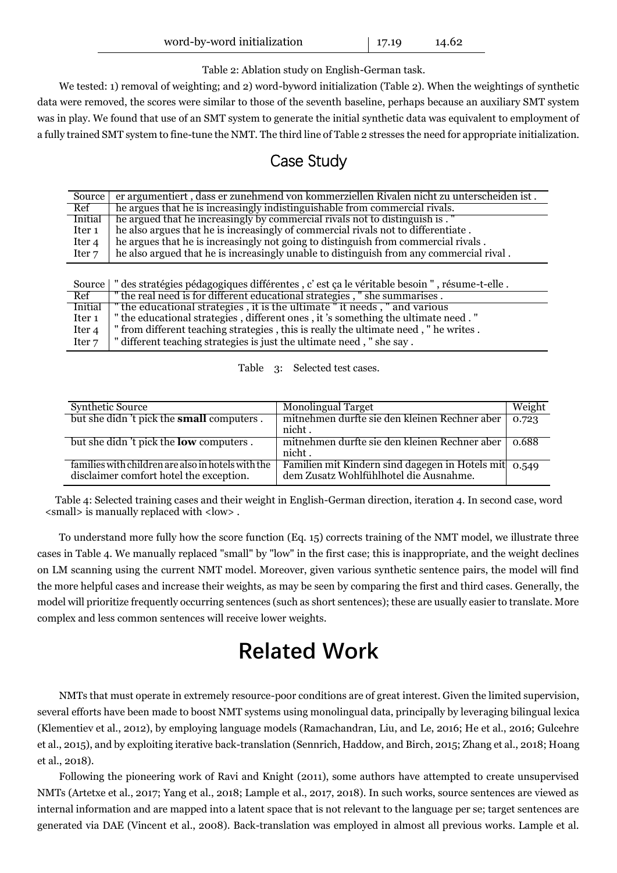| word-by-word initialization | $17.19$ | 14.62 |
|-----------------------------|---------|-------|
|-----------------------------|---------|-------|

Table 2: Ablation study on English-German task.

We tested: 1) removal of weighting; and 2) word-byword initialization (Table 2). When the weightings of synthetic data were removed, the scores were similar to those of the seventh baseline, perhaps because an auxiliary SMT system was in play. We found that use of an SMT system to generate the initial synthetic data was equivalent to employment of a fully trained SMT system to fine-tune the NMT. The third line of Table 2 stresses the need for appropriate initialization.

#### Case Study

| Source            | er argumentiert, dass er zunehmend von kommerziellen Rivalen nicht zu unterscheiden ist. |
|-------------------|------------------------------------------------------------------------------------------|
| Ref               | he argues that he is increasingly indistinguishable from commercial rivals.              |
| <b>Initial</b>    | he argued that he increasingly by commercial rivals not to distinguish is . "            |
| Iter <sub>1</sub> | he also argues that he is increasingly of commercial rivals not to differentiate.        |
| Iter <sub>4</sub> | he argues that he is increasingly not going to distinguish from commercial rivals.       |
| Iter <sub>7</sub> | he also argued that he is increasingly unable to distinguish from any commercial rival.  |
|                   |                                                                                          |

|                   | Source   " des stratégies pédagogiques différentes, c'est ça le véritable besoin ", résume-t-elle. |
|-------------------|----------------------------------------------------------------------------------------------------|
| Ref               | " the real need is for different educational strategies, " she summarises.                         |
| Initial           | the educational strategies, it is the ultimate "it needs," and various                             |
| Iter 1            | " the educational strategies, different ones, it 's something the ultimate need."                  |
| Iter 4            | " from different teaching strategies, this is really the ultimate need, " he writes.               |
| Iter <sub>7</sub> | " different teaching strategies is just the ultimate need, " she say.                              |

|  |  | Table 3: Selected test cases. |
|--|--|-------------------------------|
|--|--|-------------------------------|

| <b>Synthetic Source</b>                            | <b>Monolingual Target</b>                             | Weight |
|----------------------------------------------------|-------------------------------------------------------|--------|
| but she didn't pick the <b>small</b> computers.    | mitnehmen durfte sie den kleinen Rechner aber         | 0.723  |
|                                                    | nicht.                                                |        |
| but she didn't pick the <b>low</b> computers.      | mitnehmen durfte sie den kleinen Rechner aber         | 0.688  |
|                                                    | nicht.                                                |        |
| families with children are also in hotels with the | Familien mit Kindern sind dagegen in Hotels mit 0.549 |        |
| disclaimer comfort hotel the exception.            | dem Zusatz Wohlfühlhotel die Ausnahme.                |        |

Table 4: Selected training cases and their weight in English-German direction, iteration 4. In second case, word <small> is manually replaced with <low> .

To understand more fully how the score function (Eq. 15) corrects training of the NMT model, we illustrate three cases in Table 4. We manually replaced "small" by "low" in the first case; this is inappropriate, and the weight declines on LM scanning using the current NMT model. Moreover, given various synthetic sentence pairs, the model will find the more helpful cases and increase their weights, as may be seen by comparing the first and third cases. Generally, the model will prioritize frequently occurring sentences (such as short sentences); these are usually easier to translate. More complex and less common sentences will receive lower weights.

# **Related Work**

NMTs that must operate in extremely resource-poor conditions are of great interest. Given the limited supervision, several efforts have been made to boost NMT systems using monolingual data, principally by leveraging bilingual lexica (Klementiev et al., 2012), by employing language models (Ramachandran, Liu, and Le, 2016; He et al., 2016; Gulcehre et al., 2015), and by exploiting iterative back-translation (Sennrich, Haddow, and Birch, 2015; Zhang et al., 2018; Hoang et al., 2018).

Following the pioneering work of Ravi and Knight (2011), some authors have attempted to create unsupervised NMTs (Artetxe et al., 2017; Yang et al., 2018; Lample et al., 2017, 2018). In such works, source sentences are viewed as internal information and are mapped into a latent space that is not relevant to the language per se; target sentences are generated via DAE (Vincent et al., 2008). Back-translation was employed in almost all previous works. Lample et al.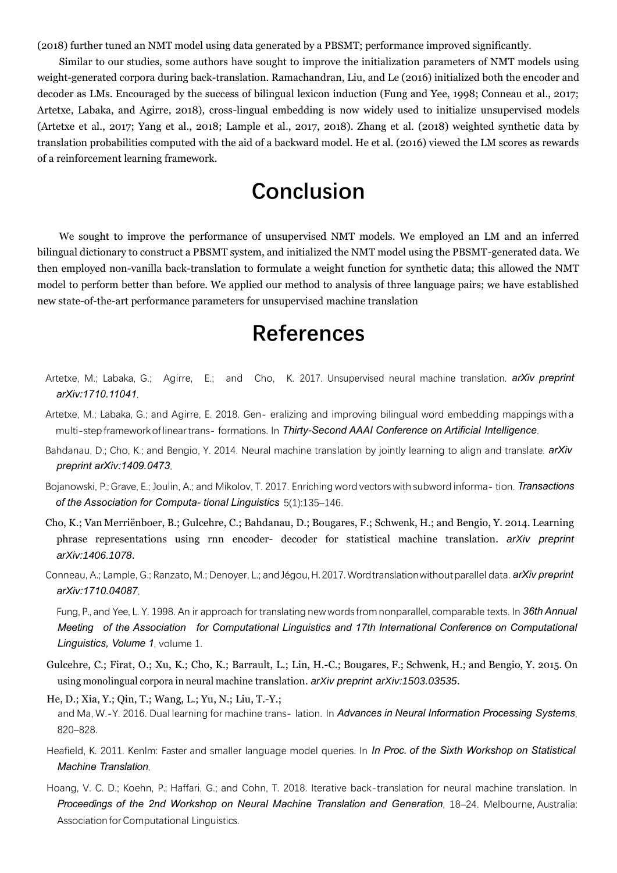(2018) further tuned an NMT model using data generated by a PBSMT; performance improved significantly.

Similar to our studies, some authors have sought to improve the initialization parameters of NMT models using weight-generated corpora during back-translation. Ramachandran, Liu, and Le (2016) initialized both the encoder and decoder as LMs. Encouraged by the success of bilingual lexicon induction (Fung and Yee, 1998; Conneau et al., 2017; Artetxe, Labaka, and Agirre, 2018), cross-lingual embedding is now widely used to initialize unsupervised models (Artetxe et al., 2017; Yang et al., 2018; Lample et al., 2017, 2018). Zhang et al. (2018) weighted synthetic data by translation probabilities computed with the aid of a backward model. He et al. (2016) viewed the LM scores as rewards of a reinforcement learning framework.

# **Conclusion**

We sought to improve the performance of unsupervised NMT models. We employed an LM and an inferred bilingual dictionary to construct a PBSMT system, and initialized the NMT model using the PBSMT-generated data. We then employed non-vanilla back-translation to formulate a weight function for synthetic data; this allowed the NMT model to perform better than before. We applied our method to analysis of three language pairs; we have established new state-of-the-art performance parameters for unsupervised machine translation

## **References**

- Artetxe, M.; Labaka, G.; Agirre, E.; and Cho, K. 2017. Unsupervised neural machine translation. *arXiv preprint arXiv:1710.11041*.
- Artetxe, M.; Labaka, G.; and Agirre, E. 2018. Gen- eralizing and improving bilingual word embedding mappings with a multi-stepframeworkoflineartrans- formations. In *Thirty-Second AAAI Conference on Artificial Intelligence*.
- <span id="page-9-1"></span>Bahdanau, D.; Cho, K.; and Bengio, Y. 2014. Neural machine translation by jointly learning to align and translate. *arXiv preprint arXiv:1409.0473*.
- Bojanowski, P.; Grave, E.; Joulin, A.; and Mikolov, T. 2017. Enriching word vectors with subword informa- tion. *Transactions of the Association for Computa- tional Linguistics* 5(1):135–146.
- <span id="page-9-0"></span>Cho, K.; Van Merriënboer, B.; Gulcehre, C.; Bahdanau, D.; Bougares, F.; Schwenk, H.; and Bengio, Y. 2014. Learning phrase representations using rnn encoder- decoder for statistical machine translation. *arXiv preprint arXiv:1406.1078*.
- Conneau, A.; Lample, G.; Ranzato, M.; Denoyer, L.; andJégou,H.2017.Wordtranslationwithoutparallel data. *arXiv preprint arXiv:1710.04087*.

Fung, P., and Yee, L. Y. 1998. An ir approach for translating new words from nonparallel, comparable texts. In *36th Annual Meeting of the Association for Computational Linguistics and 17th International Conference on Computational Linguistics, Volume 1*, volume 1.

- Gulcehre, C.; Firat, O.; Xu, K.; Cho, K.; Barrault, L.; Lin, H.-C.; Bougares, F.; Schwenk, H.; and Bengio, Y. 2015. On using monolingual corpora in neural machine translation. *arXiv preprint arXiv:1503.03535*.
- He, D.; Xia, Y.; Qin, T.; Wang, L.; Yu, N.; Liu, T.-Y.; and Ma, W.-Y. 2016. Dual learning for machine trans- lation. In *Advances in Neural Information Processing Systems*, 820–828.
- Heafield, K. 2011. Kenlm: Faster and smaller language model queries. In *In Proc. of the Sixth Workshop on Statistical Machine Translation*.
- <span id="page-9-2"></span>Hoang, V. C. D.; Koehn, P.; Haffari, G.; and Cohn, T. 2018. Iterative back-translation for neural machine translation. In *Proceedings of the 2nd Workshop on Neural Machine Translation and Generation*, 18–24. Melbourne, Australia: Association forComputational Linguistics.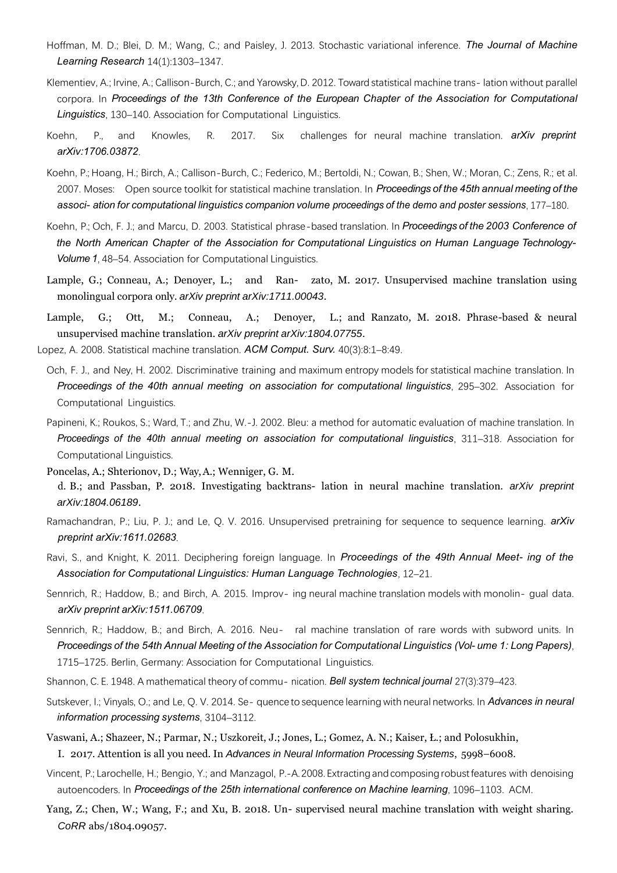- Hoffman, M. D.; Blei, D. M.; Wang, C.; and Paisley, J. 2013. Stochastic variational inference. *The Journal of Machine Learning Research* 14(1):1303–1347.
- Klementiev, A.; Irvine, A.; Callison-Burch, C.; and Yarowsky, D. 2012. Toward statistical machine trans- lation without parallel corpora. In *Proceedings of the 13th Conference of the European Chapter of the Association for Computational Linguistics*, 130–140. Association for Computational Linguistics.
- <span id="page-10-2"></span>Koehn, P., and Knowles, R. 2017. Six challenges for neural machine translation. *arXiv preprint arXiv:1706.03872*.
- Koehn, P.; Hoang, H.; Birch, A.; Callison-Burch, C.; Federico, M.; Bertoldi, N.; Cowan, B.; Shen, W.; Moran, C.; Zens, R.; et al. 2007. Moses: Open source toolkit for statistical machine translation. In *Proceedings of the 45th annual meeting of the associ- ation for computational linguistics companion volume proceedings of the demo and poster sessions*, 177–180.
- Koehn, P.; Och, F. J.; and Marcu, D. 2003. Statistical phrase-based translation. In *Proceedings of the 2003 Conference of the North American Chapter of the Association for Computational Linguistics on Human Language Technology-Volume 1*, 48–54. Association for Computational Linguistics.
- <span id="page-10-4"></span>Lample, G.; Conneau, A.; Denoyer, L.; and Ran- zato, M. 2017. Unsupervised machine translation using monolingual corpora only. *arXiv preprint arXiv:1711.00043*.
- <span id="page-10-5"></span>Lample, G.; Ott, M.; Conneau, A.; Denoyer, L.; and Ranzato, M. 2018. Phrase-based & neural unsupervised machine translation. *arXiv preprint arXiv:1804.07755*.
- <span id="page-10-7"></span><span id="page-10-6"></span><span id="page-10-3"></span><span id="page-10-1"></span><span id="page-10-0"></span>Lopez, A. 2008. Statistical machine translation. *ACM Comput. Surv.* 40(3):8:1–8:49.
	- Och, F. J., and Ney, H. 2002. Discriminative training and maximum entropy models for statistical machine translation. In *Proceedings of the 40th annual meeting on association for computational linguistics*, 295–302. Association for Computational Linguistics.
	- Papineni, K.; Roukos, S.; Ward, T.; and Zhu, W.-J. 2002. Bleu: a method for automatic evaluation of machine translation. In *Proceedings of the 40th annual meeting on association for computational linguistics*, 311–318. Association for Computational Linguistics.
	- Poncelas, A.; Shterionov, D.; Way, A.; Wenniger, G. M.
	- d. B.; and Passban, P. 2018. Investigating backtrans- lation in neural machine translation. *arXiv preprint arXiv:1804.06189*.
	- Ramachandran, P.; Liu, P. J.; and Le, Q. V. 2016. Unsupervised pretraining for sequence to sequence learning. *arXiv preprint arXiv:1611.02683*.
	- Ravi, S., and Knight, K. 2011. Deciphering foreign language. In *Proceedings of the 49th Annual Meet- ing of the Association for Computational Linguistics: Human Language Technologies*, 12–21.
	- Sennrich, R.; Haddow, B.; and Birch, A. 2015. Improv- ing neural machine translation models with monolin- gual data. *arXiv preprint arXiv:1511.06709*.
	- Sennrich, R.; Haddow, B.; and Birch, A. 2016. Neu- ral machine translation of rare words with subword units. In *Proceedings of the 54th Annual Meeting of the Association for Computational Linguistics (Vol- ume 1: Long Papers)*, 1715–1725. Berlin, Germany: Association for Computational Linguistics.
	- Shannon, C. E. 1948. A mathematical theory of commu- nication. *Bell system technical journal* 27(3):379–423.
	- Sutskever, I.; Vinyals, O.; and Le, Q. V. 2014. Se- quence to sequence learning with neural networks. In *Advances in neural information processing systems*, 3104–3112.
	- Vaswani, A.; Shazeer, N.; Parmar, N.; Uszkoreit, J.; Jones, L.; Gomez, A. N.; Kaiser, Ł.; and Polosukhin,
		- I. 2017. Attention is all you need. In *Advances in Neural Information Processing Systems*, 5998–6008.
	- Vincent, P.; Larochelle, H.; Bengio, Y.; and Manzagol, P.-A.2008. Extractingandcomposingrobustfeatures with denoising autoencoders. In *Proceedings of the 25th international conference on Machine learning*, 1096–1103. ACM.
	- Yang, Z.; Chen, W.; Wang, F.; and Xu, B. 2018. Un- supervised neural machine translation with weight sharing. *CoRR* abs/1804.09057.